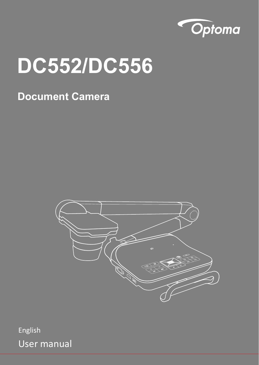

# **DC552/DC556**

### **Document Camera**



English User manual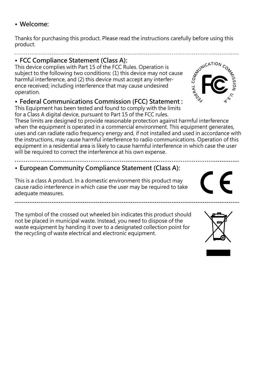#### **• Welcome:**

Thanks for purchasing this product. Please read the instructions carefully before using this product.

#### **• FCC Compliance Statement (Class A):**

This device complies with Part 15 of the FCC Rules. Operation is subject to the following two conditions: (1) this device may not cause harmful interference, and (2) this device must accept any interference received; including interference that may cause undesired operation.

#### **• Federal Communications Commission (FCC) Statement :**

This Equipment has been tested and found to comply with the limits for a Class A digital device, pursuant to Part 15 of the FCC rules.

These limits are designed to provide reasonable protection against harmful interference when the equipment is operated in a commercial environment. This equipment generates, uses and can radiate radio frequency energy and, if not installed and used in accordance with the instructions, may cause harmful interference to radio communications. Operation of this equipment in a residential area is likely to cause harmful interference in which case the user will be required to correct the interference at his own expense.

#### **• European Community Compliance Statement (Class A):**

This is a class A product. In a domestic environment this product may cause radio interference in which case the user may be required to take adequate measures.

The symbol of the crossed out wheeled bin indicates this product should not be placed in municipal waste. Instead, you need to dispose of the waste equipment by handing it over to a designated collection point for the recycling of waste electrical and electronic equipment.





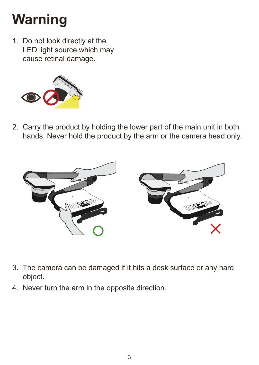# **Warning**

1. Do not look directly at the LED light source,which may cause retinal damage.



2. Carry the product by holding the lower part of the main unit in both hands. Never hold the product by the arm or the camera head only.



- 3. The camera can be damaged if it hits a desk surface or any hard object.
- 4. Never turn the arm in the opposite direction.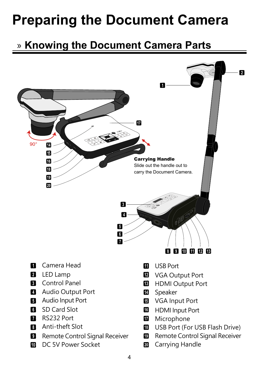# **Preparing the Document Camera**

# » **Knowing the Document Camera Parts**

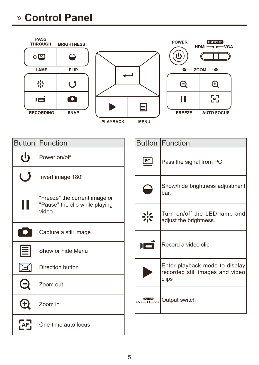# » **Control Panel**



|      | Button IFunction                                                         |
|------|--------------------------------------------------------------------------|
| ധ    | Power on/off                                                             |
|      | Invert image 180°                                                        |
|      | "Freeze" the current image or<br>"Pause" the clip while playing<br>video |
| TO T | Capture a still image                                                    |
| 圁    | Show or hide Menu                                                        |
|      | Direction button                                                         |
|      | Zoom out                                                                 |
|      | Zoom in                                                                  |
|      | One-time auto focus                                                      |

|    | Button Function                                                            |
|----|----------------------------------------------------------------------------|
| PC | Pass the signal from PC                                                    |
|    | Show/hide brightness adjustment<br>bar.                                    |
|    | Turn on/off the LED lamp and<br>adjust the brightness.                     |
|    | Record a video clip                                                        |
|    | Enter playback mode to display<br>recorded still images and video<br>clips |
|    | Cutput switch                                                              |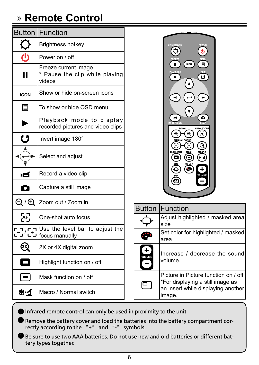# » **Remote Control**

|                                                             | <b>Button Function</b>                                            |
|-------------------------------------------------------------|-------------------------------------------------------------------|
|                                                             | <b>Brightness hotkey</b>                                          |
|                                                             | Power on / off                                                    |
|                                                             | Freeze current image.<br>* Pause the clip while playing<br>videos |
| <b>ICON</b>                                                 | Show or hide on-screen icons                                      |
| 目                                                           | To show or hide OSD menu                                          |
|                                                             | Playback mode to display<br>recorded pictures and video clips     |
| ( 3                                                         | Invert image 180°                                                 |
|                                                             | Select and adjust                                                 |
| юí                                                          | Record a video clip                                               |
|                                                             | Capture a still image                                             |
| $\mathop{\mathsf{Q}}\nolimits/\mathop{\mathsf{Q}}\nolimits$ | Zoom out / Zoom in                                                |
| Æ                                                           | One-shot auto focus                                               |
| 2                                                           | Use the level bar to adjust the<br>focus manually                 |
|                                                             | 2X or 4X digital zoom                                             |
|                                                             | Highlight function on / off                                       |
|                                                             | Mask function on / off                                            |
| ی∙چ                                                         | Macro / Normal switch                                             |



|                    | <b>Button Function</b>                                                                                                   |
|--------------------|--------------------------------------------------------------------------------------------------------------------------|
|                    | Adjust highlighted / masked area<br>size                                                                                 |
|                    | Set color for highlighted / masked<br>area                                                                               |
| ٠<br><b>VOLUME</b> | Increase / decrease the sound<br>volume.                                                                                 |
|                    | Picture in Picture function on / off<br>*For displaying a still image as<br>an insert while displaying another<br>image. |

 **Infrared remote control can only be used in proximity to the unit.** 

 $\bullet$  Remove the battery cover and load the batteries into the battery compartment cor**rectly according to the "+" and "-" symbols.** 

 $\bullet$  Be sure to use two AAA batteries. Do not use new and old batteries or different bat**tery types together.**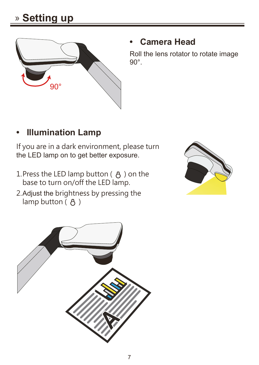

#### **• Camera Head**

Roll the lens rotator to rotate image 90°.

### **• Illumination Lamp**

If you are in a dark environment, please turn the LED lamp on to get better exposure.

- 1. Press the LED lamp button  $($   $\upbeta$   $)$  on the base to turn on/off the LED lamp.
- 2. Adjust the brightness by pressing the lamp button  $(B)$



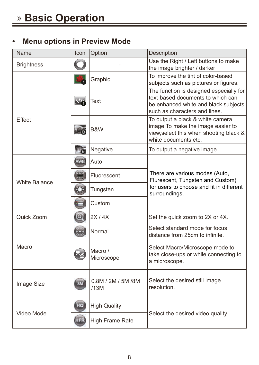#### **• Menu options in Preview Mode**

| Name                 | Icon        | Option                      | <b>Description</b>                                                                                                                                    |
|----------------------|-------------|-----------------------------|-------------------------------------------------------------------------------------------------------------------------------------------------------|
| <b>Brightness</b>    |             |                             | Use the Right / Left buttons to make<br>the image brighter / darker                                                                                   |
|                      |             | Graphic                     | To improve the tint of color-based<br>subjects such as pictures or figures.                                                                           |
|                      | ADS         | Text                        | The function is designed especially for<br>text-based documents to which can<br>be enhanced white and black subjects<br>such as characters and lines. |
| Effect               | - Pó        | B&W                         | To output a black & white camera<br>image. To make the image easier to<br>view, select this when shooting black &<br>white documents etc.             |
|                      | <b>Tara</b> | Negative                    | To output a negative image.                                                                                                                           |
|                      | AWB         | Auto                        |                                                                                                                                                       |
| <b>White Balance</b> | H           | Fluorescent                 | There are various modes (Auto,<br>Flurescent, Tungsten and Custom)                                                                                    |
|                      | Q.          | Tungsten                    | for users to choose and fit in different<br>surroundings.                                                                                             |
|                      |             | Custom                      |                                                                                                                                                       |
| Quick Zoom           | $\odot$     | 2X/4X                       | Set the quick zoom to 2X or 4X.                                                                                                                       |
|                      |             | Normal                      | Select standard mode for focus<br>distance from 25cm to infinite.                                                                                     |
| Macro                |             | Macro /<br>Microscope       | Select Macro/Microscope mode to<br>take close-ups or while connecting to<br>a microscope.                                                             |
| Image Size           | 8M          | 0.8M / 2M / 5M / 8M<br>/13M | Select the desired still image<br>resolution.                                                                                                         |
| Video Mode           | HQ          | <b>High Quality</b>         |                                                                                                                                                       |
|                      | <b>HFR</b>  | High Frame Rate             | Select the desired video quality.                                                                                                                     |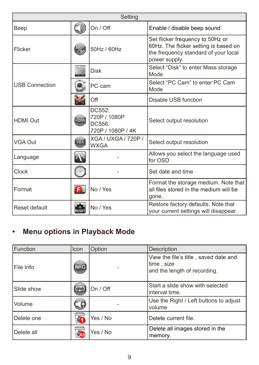| Setting               |                           |                                                       |                                                                                                                                    |
|-----------------------|---------------------------|-------------------------------------------------------|------------------------------------------------------------------------------------------------------------------------------------|
| Beep                  | $\bar{ }$ D)              | On / Off                                              | Enable / disable beep sound                                                                                                        |
| Flicker               | $\frac{50}{60}$           | 50Hz / 60Hz                                           | Set flicker frequency to 50Hz or<br>60Hz. The flicker setting is based on<br>the frequency standard of your local<br>power supply. |
|                       |                           | <b>Disk</b>                                           | Select "Disk" to enter Mass storage<br>Mode                                                                                        |
| <b>USB Connection</b> |                           | PC cam                                                | Select "PC Cam" to enter PC Cam<br>Mode                                                                                            |
|                       |                           | Off                                                   | Disable USB function                                                                                                               |
| <b>HDMI Out</b>       | HOMI                      | DC552:<br>720P / 1080P<br>DC556:<br>720P / 1080P / 4K | Select output resolution                                                                                                           |
| VGA Out               | VGA                       | <b>XGA / UXGA / 720P /</b><br><b>WXGA</b>             | Select output resolution                                                                                                           |
| Language              | $\mathbf{A}^{\mathbf{b}}$ |                                                       | Allows you select the language used<br>for OSD                                                                                     |
| Clock                 |                           |                                                       | Set date and time                                                                                                                  |
| Format                | Œ                         | No / Yes                                              | Format the storage medium. Note that<br>all files stored in the medium will be<br>gone.                                            |
| Reset default         | <b>RESET</b>              | No / Yes                                              | Restore factory defaults. Note that<br>your current settings will disappear.                                                       |

### **• Menu options in Playback Mode**

| Function   | Icon        | Option   | Description                                                                         |
|------------|-------------|----------|-------------------------------------------------------------------------------------|
| File Info  | <b>INFO</b> |          | View the file's title, saved date and<br>time, size<br>and the length of recording. |
| Slide show |             | On / Off | Start a slide show with selected<br>interval time.                                  |
| Volume     |             |          | Use the Right / Left buttons to adjust<br>volume                                    |
| Delete one | Ý.          | Yes / No | Delete current file.                                                                |
| Delete all | <b>SAI</b>  | Yes / No | Delete all images stored in the<br>memory.                                          |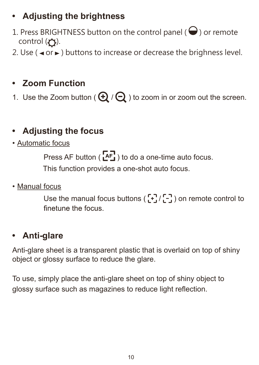### **• Adjusting the brightness**

- 1. Press BRIGHTNESS button on the control panel ( $\bigodot$ ) or remote control  $($  $\bigcap$ ).
- 2. Use ( $\triangleleft$  or  $\triangleright$ ) buttons to increase or decrease the brighness level.

### **• Zoom Function**

1. Use the Zoom button ( $\bigoplus$  / $\bigodot$ ) to zoom in or zoom out the screen.

### **• Adjusting the focus**

• Automatic focus

Press AF button ( $[AF]$ ) to do a one-time auto focus.

This function provides a one-shot auto focus.

• Manual focus

Use the manual focus buttons ( $\begin{bmatrix} -1 \\ -1 \end{bmatrix}$ ) on remote control to finetune the focus

#### **• Anti-glare**

Anti-glare sheet is a transparent plastic that is overlaid on top of shiny object or glossy surface to reduce the glare.

To use, simply place the anti-glare sheet on top of shiny object to glossy surface such as magazines to reduce light reflection.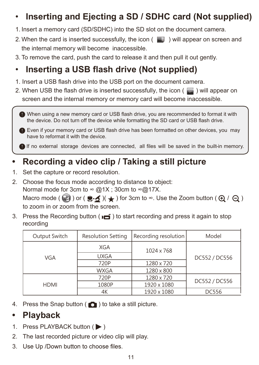### • **Inserting and Ejecting a SD / SDHC card (Not supplied)**

- 1. Insert a memory card (SD/SDHC) into the SD slot on the document camera.
- 2. When the card is inserted successfully, the icon  $\begin{pmatrix} 1 & 1 \end{pmatrix}$  will appear on screen and the internal memory will become inaccessible.
- 3. To remove the card, push the card to release it and then pull it out gently.

### • **Inserting a USB flash drive (Not supplied)**

- 1. Insert a USB flash drive into the USB port on the document camera.
- 2. When USB the flash drive is inserted successfully, the icon ( $\Box$ ) will appear on screen and the internal memory or memory card will become inaccessible.

 When using a new memory card or USB flash drive, you are recommended to format it with the device. Do not turn off the device while formatting the SD card or USB flash drive.

Even if your memory card or USB flash drive has been formatted on other devices, you may have to reformat it with the device.

If no external storage devices are connected, all files will be saved in the built-in memory.

### **• Recording a video clip / Taking a still picture**

- 1. Set the capture or record resolution.
- 2. Choose the focus mode according to distance to object: Normal mode for 3cm to  $\infty$  @1X; 30cm to  $\infty$  @17X. Macro mode ( $\bullet$ ) or ( $\bullet \bullet$ )( $\bullet$ ) for 3cm to ∞. Use the Zoom button ( $\bullet$ ) /  $\ominus$ ) to zoom in or zoom from the screen.
- 3. Press the Recording button ( $\bullet$ ) to start recording and press it again to stop recording

| Output Switch | <b>Resolution Setting</b> | Recording resolution | Model         |  |
|---------------|---------------------------|----------------------|---------------|--|
|               | XGA                       | 1024 x 768           | DC552 / DC556 |  |
| VGA           | <b>UXGA</b>               |                      |               |  |
|               | 720P                      | 1280 x 720           |               |  |
|               | <b>WXGA</b>               | 1280 x 800           |               |  |
|               | 720P                      | 1280 x 720           | DC552 / DC556 |  |
| <b>HDMI</b>   | 1080P                     | 1920 x 1080          |               |  |
|               | 4К                        | 1920 x 1080          | <b>DC556</b>  |  |

4. Press the Snap button  $\left( \bigcirc \right)$  to take a still picture.

#### **• Playback**

- 1. Press PLAYBACK button ( $\blacktriangleright$ )
- 2. The last recorded picture or video clip will play.
- 3. Use Up /Down button to choose files.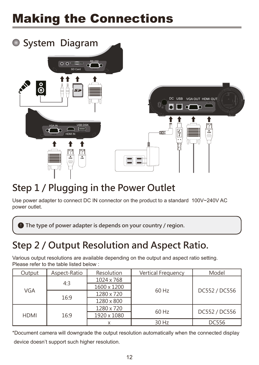# Making the Connections



## **Step 1 / Plugging in the Power Outlet**

Use power adapter to connect DC IN connector on the product to a standard 100V~240V AC power outlet.

 $\bullet$  The type of power adapter is depends on your country / region.

## **Step 2 / Output Resolution and Aspect Ratio.**

Various output resolutions are available depending on the output and aspect ratio setting. Please refer to the table listed below :

| Output      | Aspect-Ratio | Resolution  | Vertical Frequency | Model         |
|-------------|--------------|-------------|--------------------|---------------|
|             | 4:3          | 1024 x 768  | 60 Hz              | DC552 / DC556 |
| VGA         |              | 1600 x 1200 |                    |               |
|             | 16:9         | 1280 x 720  |                    |               |
|             |              | 1280 x 800  |                    |               |
|             |              | 1280 x 720  | 60 Hz              | DC552 / DC556 |
| <b>HDMI</b> | 16:9         | 1920 x 1080 |                    |               |
|             |              |             | 30 Hz              | <b>DC556</b>  |

\*Document camera will downgrade the output resolution automatically when the connected display device doesn't support such higher resolution.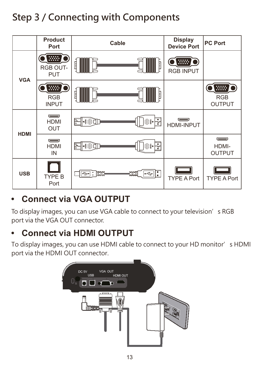# **Step 3 / Connecting with Components**



#### **• Connect via VGA OUTPUT**

To display images, you can use VGA cable to connect to your television's RGB port via the VGA OUT connector.

### **• Connect via HDMI OUTPUT**

To display images, you can use HDMI cable to connect to your HD monitor's HDMI port via the HDMI OUT connector.

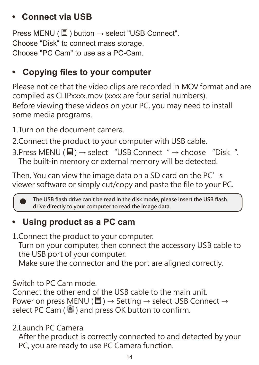#### **• Connect via USB**

Press MENU ( $\textcircled{1}$ ) button  $\rightarrow$  select "USB Connect". Choose "Disk" to connect mass storage. Choose "PC Cam" to use as a PC-Cam.

#### • Copying files to your computer

Please notice that the video clips are recorded in MOV format and are compiled as CLIPxxxx.mov (xxxx are four serial numbers). Before viewing these videos on your PC, you may need to install some media programs.

- 1. Turn on the document camera.
- 2. Connect the product to your computer with USB cable.
- 3. Press MENU ( $\equiv$ ) → select "USB Connect " → choose "Disk ". The built-in memory or external memory will be detected.

Then, You can view the image data on a SD card on the PC's viewer software or simply cut/copy and paste the file to your PC.

**The USB flash drive can't be read in the disk mode, please insert the USB flash drive directly to your computer to read the image data.**

#### **• Using product as a PC cam**

1. Connect the product to your computer.

Turn on your computer, then connect the accessory USB cable to the USB port of your computer.

Make sure the connector and the port are aligned correctly.

Switch to PC Cam mode.

Connect the other end of the USB cable to the main unit. Power on press MENU ( $\blacksquare$ ) → Setting → select USB Connect → select PC Cam  $(\bigcirc$  ) and press OK button to confirm.

2. Launch PC Camera

After the product is correctly connected to and detected by your PC, you are ready to use PC Camera function.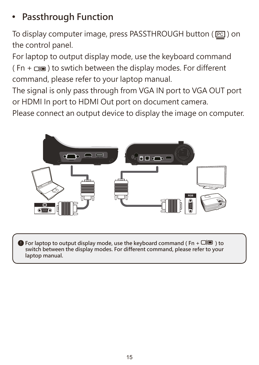## **• Passthrough Function**

To display computer image, press PASSTHROUGH button ( $[Fe]$ ) on the control panel.

For laptop to output display mode, use the keyboard command  $(Fn + \Box)$  to swtich between the display modes. For different command, please refer to your laptop manual.

The signal is only pass through from VGA IN port to VGA OUT port or HDMI In port to HDMI Out port on document camera.

Please connect an output device to display the image on computer.



 $\bullet$  For laptop to output display mode, use the keyboard command (Fn +  $\square \blacksquare$ ) to **switch between the display modes. For different command, please refer to your laptop manual.**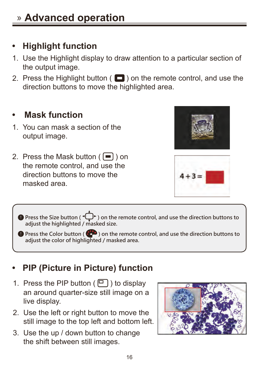## **• Highlight function**

- 1. Use the Highlight display to draw attention to a particular section of the output image.
- 2. Press the Highlight button (  $\Box$  ) on the remote control, and use the direction buttons to move the highlighted area.

#### **• Mask function**

- 1. You can mask a section of the output image.
- 2. Press the Mask button  $(\blacksquare)$  on the remote control, and use the direction buttons to move the masked area.





 $\bigcirc$  Press the Size button ( $\bigcirc$  ) on the remote control, and use the direction buttons to **adjust the highlighted / masked size.**

**O** Press the Color button ( $\bullet$  ) on the remote control, and use the direction buttons to **adjust the color of highlighted / masked area.**

### **• PIP (Picture in Picture) function**

- 1. Press the PIP button  $(\Box)$  to display an around quarter-size still image on a live display.
- 2. Use the left or right button to move the still image to the top left and bottom left.
- 3. Use the up / down button to change the shift between still images.

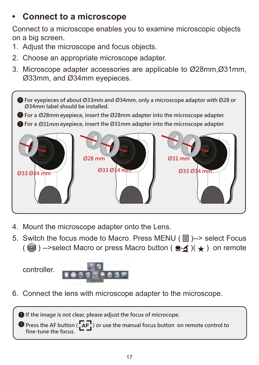### **• Connect to a microscope**

Connect to a microscope enables you to examine microscopic objects on a big screen.

- 1. Adjust the microscope and focus objects.
- 2. Choose an appropriate microscope adapter.
- 3. Microscope adapter accessories are applicable to Ø28mm,Ø31mm, Ø33mm, and Ø34mm eyepieces.



- 4. Mount the microscope adapter onto the Lens.
- 5. Switch the focus mode to Macro. Press MENU (目)--> select Focus ( $\bigcirc$ ) -->select Macro or press Macro button ( $\bigcirc$  )( $\bigstar$ ) on remote

controller.



6. Connect the lens with microscope adapter to the microscope.

**If the image is not clear, please adjust the focus of microcope.**

 $\bullet$  Press the AF button ( $\overline{A}F$ ) or use the manual focus button on remote control to **fine-tune the focus.**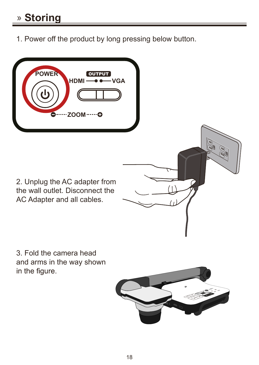1. Power off the product by long pressing below button.



3. Fold the camera head and arms in the way shown in the figure.

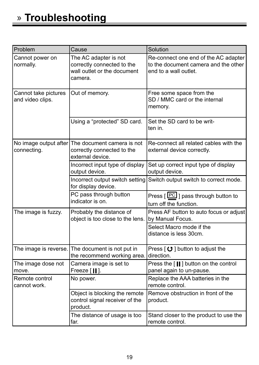| Problem                                  | Cause                                                                                         | Solution                                                                                              |
|------------------------------------------|-----------------------------------------------------------------------------------------------|-------------------------------------------------------------------------------------------------------|
| Cannot power on<br>normally.             | The AC adapter is not<br>correctly connected to the<br>wall outlet or the document<br>camera. | Re-connect one end of the AC adapter<br>to the document camera and the other<br>end to a wall outlet. |
| Cannot take pictures<br>and video clips. | Out of memory.                                                                                | Free some space from the<br>SD / MMC card or the internal<br>memory.                                  |
|                                          | Using a "protected" SD card.                                                                  | Set the SD card to be writ-<br>ten in.                                                                |
| No image output after<br>connecting.     | The document camera is not<br>correctly connected to the<br>external device.                  | Re-connect all related cables with the<br>external device correctly.                                  |
|                                          | Incorrect input type of display<br>output device.                                             | Set up correct input type of display<br>output device.                                                |
|                                          | Incorrect output switch setting<br>for display device.                                        | Switch output switch to correct mode.                                                                 |
|                                          | PC pass through button<br>indicator is on.                                                    | Press $[PC]$ pass through button to<br>turn off the function.                                         |
| The image is fuzzy.                      | Probably the distance of<br>object is too close to the lens.                                  | Press AF button to auto focus or adjust<br>by Manual Focus.                                           |
|                                          |                                                                                               | Select Macro mode if the<br>distance is less 30cm.                                                    |
| The image is reverse.                    | The document is not put in<br>the recommend working area.                                     | Press $\lceil$ O ] button to adjust the<br>direction.                                                 |
| The image dose not<br>move.              | Camera image is set to<br>Freeze [ <b>   </b> ].                                              | Press the [II] button on the control<br>panel again to un-pause.                                      |
| Remote control<br>cannot work.           | No power.                                                                                     | Replace the AAA batteries in the<br>remote control.                                                   |
|                                          | Object is blocking the remote<br>control signal receiver of the<br>product.                   | Remove obstruction in front of the<br>product.                                                        |
|                                          | The distance of usage is too<br>far.                                                          | Stand closer to the product to use the<br>remote control.                                             |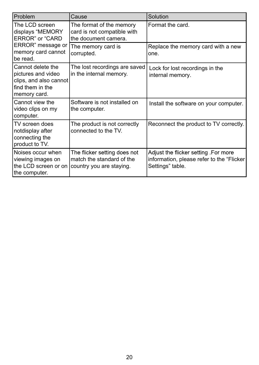| Problem                                                                                                      | Cause                                                                                 | Solution                                                                                              |
|--------------------------------------------------------------------------------------------------------------|---------------------------------------------------------------------------------------|-------------------------------------------------------------------------------------------------------|
| The LCD screen<br>displays "MEMORY<br>ERROR" or "CARD<br>ERROR" message or<br>memory card cannot<br>be read. | The format of the memory<br>card is not compatible with<br>the document camera.       | Format the card.                                                                                      |
|                                                                                                              | The memory card is<br>corrupted.                                                      | Replace the memory card with a new<br>one.                                                            |
| Cannot delete the<br>pictures and video<br>clips, and also cannot<br>find them in the<br>memory card.        | The lost recordings are saved<br>in the internal memory.                              | Lock for lost recordings in the<br>internal memory.                                                   |
| Cannot view the<br>video clips on my<br>computer.                                                            | Software is not installed on<br>the computer.                                         | Install the software on your computer.                                                                |
| TV screen does<br>notdisplay after<br>connecting the<br>product to TV.                                       | The product is not correctly<br>connected to the TV.                                  | Reconnect the product to TV correctly.                                                                |
| Noises occur when<br>viewing images on<br>the LCD screen or on<br>the computer.                              | The flicker setting does not<br>match the standard of the<br>country you are staying. | Adjust the flicker setting .For more<br>information, please refer to the "Flicker<br>Settings" table. |